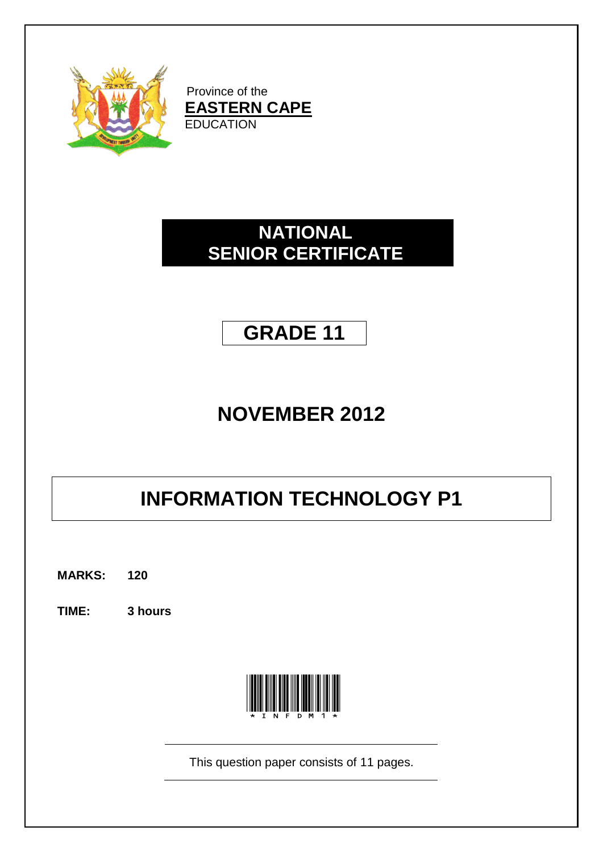

Province of the **EASTERN CAPE EDUCATION** 

# **NATIONAL SENIOR CERTIFICATE**

# **GRADE 11**

# **NOVEMBER 2012**

# **INFORMATION TECHNOLOGY P1**

**MARKS: 120**

**TIME: 3 hours**



This question paper consists of 11 pages.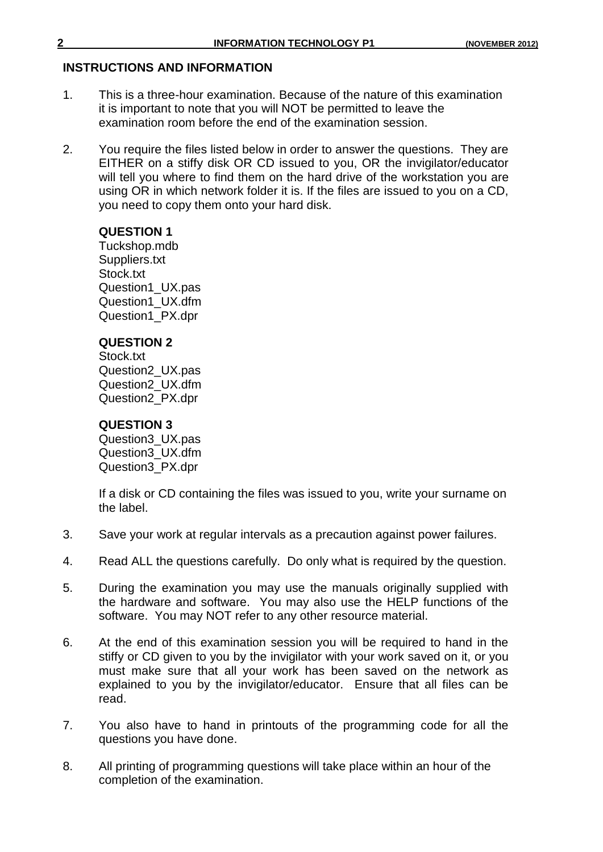# **INSTRUCTIONS AND INFORMATION**

- 1. This is a three-hour examination. Because of the nature of this examination it is important to note that you will NOT be permitted to leave the examination room before the end of the examination session.
- 2. You require the files listed below in order to answer the questions. They are EITHER on a stiffy disk OR CD issued to you, OR the invigilator/educator will tell you where to find them on the hard drive of the workstation you are using OR in which network folder it is. If the files are issued to you on a CD, you need to copy them onto your hard disk.

# **QUESTION 1**

Tuckshop.mdb Suppliers.txt Stock.txt Question1\_UX.pas Question1\_UX.dfm Question1\_PX.dpr

# **QUESTION 2**

Stock.txt Question2\_UX.pas Question2\_UX.dfm Question2\_PX.dpr

# **QUESTION 3**

Question3\_UX.pas Question3\_UX.dfm Question3\_PX.dpr

If a disk or CD containing the files was issued to you, write your surname on the label.

- 3. Save your work at regular intervals as a precaution against power failures.
- 4. Read ALL the questions carefully. Do only what is required by the question.
- 5. During the examination you may use the manuals originally supplied with the hardware and software. You may also use the HELP functions of the software. You may NOT refer to any other resource material.
- 6. At the end of this examination session you will be required to hand in the stiffy or CD given to you by the invigilator with your work saved on it, or you must make sure that all your work has been saved on the network as explained to you by the invigilator/educator. Ensure that all files can be read.
- 7. You also have to hand in printouts of the programming code for all the questions you have done.
- 8. All printing of programming questions will take place within an hour of the completion of the examination.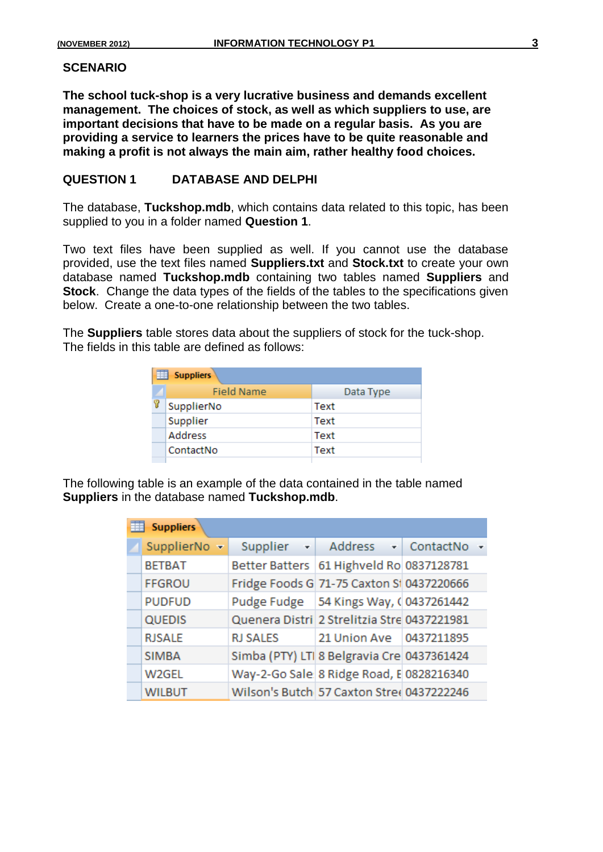#### **SCENARIO**

**The school tuck-shop is a very lucrative business and demands excellent management. The choices of stock, as well as which suppliers to use, are important decisions that have to be made on a regular basis. As you are providing a service to learners the prices have to be quite reasonable and making a profit is not always the main aim, rather healthy food choices.**

### **QUESTION 1 DATABASE AND DELPHI**

The database, **Tuckshop.mdb**, which contains data related to this topic, has been supplied to you in a folder named **Question 1**.

Two text files have been supplied as well. If you cannot use the database provided, use the text files named **Suppliers.txt** and **Stock.txt** to create your own database named **Tuckshop.mdb** containing two tables named **Suppliers** and **Stock**. Change the data types of the fields of the tables to the specifications given below. Create a one-to-one relationship between the two tables.

The **Suppliers** table stores data about the suppliers of stock for the tuck-shop. The fields in this table are defined as follows:

| 爾<br><b>Suppliers</b> |           |  |  |  |  |
|-----------------------|-----------|--|--|--|--|
| <b>Field Name</b>     | Data Type |  |  |  |  |
| SupplierNo            | Text      |  |  |  |  |
| Supplier              | Text      |  |  |  |  |
| <b>Address</b>        | Text      |  |  |  |  |
| ContactNo             | Text      |  |  |  |  |
|                       |           |  |  |  |  |

The following table is an example of the data contained in the table named **Suppliers** in the database named **Tuckshop.mdb**.

| <b>Suppliers</b> |                 |                                             |  |  |  |
|------------------|-----------------|---------------------------------------------|--|--|--|
| SupplierNo -     |                 | Supplier - Address - ContactNo              |  |  |  |
| <b>BETBAT</b>    |                 | Better Batters   61 Highveld Ro 0837128781  |  |  |  |
| <b>FFGROU</b>    |                 | Fridge Foods G 71-75 Caxton SI 0437220666   |  |  |  |
| <b>PUDFUD</b>    |                 | Pudge Fudge   54 Kings Way, ( 0437261442    |  |  |  |
| <b>QUEDIS</b>    |                 | Quenera Distri 2 Strelitzia Stre 0437221981 |  |  |  |
| <b>RJSALE</b>    | <b>RJ SALES</b> | 21 Union Ave 0437211895                     |  |  |  |
| <b>SIMBA</b>     |                 | Simba (PTY) LTI 8 Belgravia Cre 0437361424  |  |  |  |
| W2GEL            |                 | Way-2-Go Sale 8 Ridge Road, E 0828216340    |  |  |  |
| <b>WILBUT</b>    |                 | Wilson's Butch 57 Caxton Stree 0437222246   |  |  |  |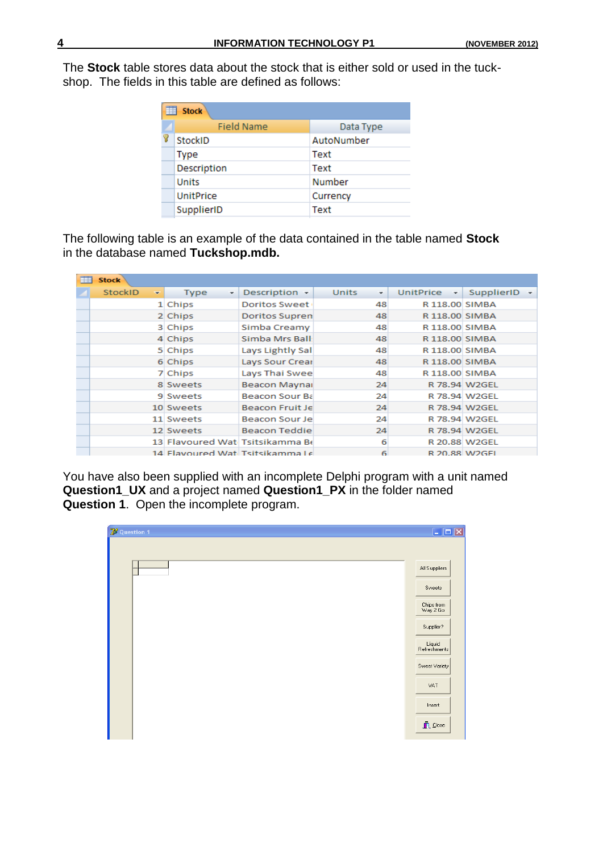The **Stock** table stores data about the stock that is either sold or used in the tuckshop. The fields in this table are defined as follows:

|   | <b>Stock</b>      |            |  |  |  |
|---|-------------------|------------|--|--|--|
|   | <b>Field Name</b> | Data Type  |  |  |  |
| Υ | <b>StockID</b>    | AutoNumber |  |  |  |
|   | Type              | Text       |  |  |  |
|   | Description       | Text       |  |  |  |
|   | <b>Units</b>      | Number     |  |  |  |
|   | <b>UnitPrice</b>  | Currency   |  |  |  |
|   | SupplierID        | Text       |  |  |  |

The following table is an example of the data contained in the table named **Stock**  in the database named **Tuckshop.mdb.**

| 亜 | <b>Stock</b>                               |                                 |                                 |                   |                      |                   |
|---|--------------------------------------------|---------------------------------|---------------------------------|-------------------|----------------------|-------------------|
|   | <b>StockID</b><br>$\overline{\phantom{a}}$ | <b>Type</b><br>۰                | Description $\sim$              | <b>Units</b><br>÷ | UnitPrice<br>$\star$ | <b>SupplierID</b> |
|   |                                            | 1 Chips                         | <b>Doritos Sweet</b>            | 48                | R 118.00 SIMBA       |                   |
|   |                                            | 2 Chips                         | Doritos Supren                  | 48                | R 118.00 SIMBA       |                   |
|   |                                            | 3 Chips                         | Simba Creamy                    | 48                | R 118.00 SIMBA       |                   |
|   |                                            | 4 Chips                         | Simba Mrs Ball:                 | 48                | R 118.00 SIMBA       |                   |
|   |                                            | 5 Chips                         | Lays Lightly Sal                | 48                | R 118.00 SIMBA       |                   |
|   |                                            | 6 Chips                         | Lays Sour Crear                 | 48                | R 118.00 SIMBA       |                   |
|   |                                            | 7 Chips                         | Lays Thai Swee                  | 48                | R 118.00 SIMBA       |                   |
|   |                                            | 8 Sweets                        | <b>Beacon Maynar</b>            | 24                |                      | R 78.94 W2GEL     |
|   |                                            | 9 Sweets                        | Beacon Sour Ba                  | 24                |                      | R 78.94 W2GEL     |
|   |                                            | 10 Sweets                       | Beacon Fruit Je                 | 24                |                      | R 78.94 W2GEL     |
|   |                                            | 11 Sweets                       | Beacon Sour Jel                 | 24                |                      | R 78.94 W2GEL     |
|   |                                            | 12 Sweets                       | <b>Beacon Teddie</b>            | 24                |                      | R 78.94 W2GEL     |
|   |                                            |                                 | 13 Flavoured Wat Tsitsikamma Be | 6                 |                      | R 20.88 W2GEL     |
|   |                                            | 14 Flavoured Wat Tsitsikamma Le |                                 | 6                 | R 20.88 W2GFL        |                   |

You have also been supplied with an incomplete Delphi program with a unit named **Question1\_UX** and a project named **Question1\_PX** in the folder named **Question 1**. Open the incomplete program.

| 7 <sup>3</sup> Question 1 | $\Box$ D $\times$               |
|---------------------------|---------------------------------|
|                           |                                 |
|                           | All Suppliers                   |
|                           | Sweets                          |
|                           | Chips from<br>Way 2 Go          |
|                           | Supplier?                       |
|                           | Liquid<br>Refreshments          |
|                           | Sweet Variety                   |
|                           | VAT                             |
|                           | Insert                          |
|                           | $\mathring{\mathbf{\Pi}}$ Close |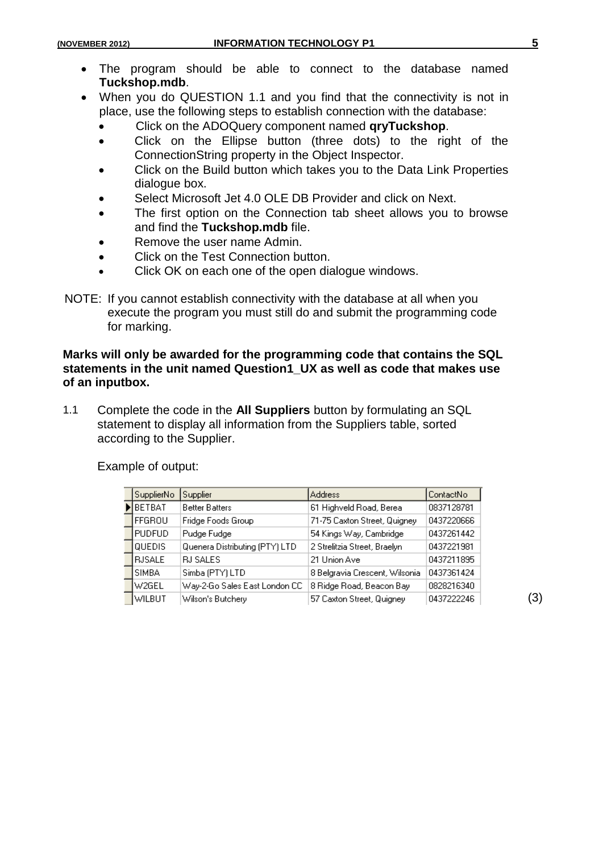- The program should be able to connect to the database named **Tuckshop.mdb**.
- When you do QUESTION 1.1 and you find that the connectivity is not in place, use the following steps to establish connection with the database:
	- Click on the ADOQuery component named **qryTuckshop**.
	- Click on the Ellipse button (three dots) to the right of the ConnectionString property in the Object Inspector.
	- Click on the Build button which takes you to the Data Link Properties dialogue box.
	- Select Microsoft Jet 4.0 OLE DB Provider and click on Next.
	- The first option on the Connection tab sheet allows you to browse and find the **Tuckshop.mdb** file.
	- Remove the user name Admin.
	- Click on the Test Connection button.
	- Click OK on each one of the open dialogue windows.

NOTE: If you cannot establish connectivity with the database at all when you execute the program you must still do and submit the programming code for marking.

# **Marks will only be awarded for the programming code that contains the SQL statements in the unit named Question1\_UX as well as code that makes use of an inputbox.**

1.1 Complete the code in the **All Suppliers** button by formulating an SQL statement to display all information from the Suppliers table, sorted according to the Supplier.

| SupplierNo      | Supplier                       | <b>Address</b>                 | ContactNo  |
|-----------------|--------------------------------|--------------------------------|------------|
| BETBAT          | <b>Better Batters</b>          | 61 Highveld Road, Berea        | 0837128781 |
| <b>FFGROU</b>   | Fridge Foods Group             | 71-75 Caxton Street, Quigney   | 0437220666 |
| <b>PUDFUD</b>   | Pudge Fudge                    | 54 Kings Way, Cambridge        | 0437261442 |
| <b>QUEDIS</b>   | Quenera Distributing (PTY) LTD | 2 Strelitzia Street, Braelyn   | 0437221981 |
| <b>I</b> RJSALE | <b>RJ SALES</b>                | 21 Union Ave                   | 0437211895 |
| ISIMBA          | Simba (PTY) LTD                | 8 Belgravia Crescent, Wilsonia | 0437361424 |
| lw2gel          | Way-2-Go Sales East London CC  | 8 Ridge Road, Beacon Bay       | 0828216340 |
| <b>WILBUT</b>   | Wilson's Butchery              | 57 Caxton Street, Quigney      | 0437222246 |

Example of output:

(3)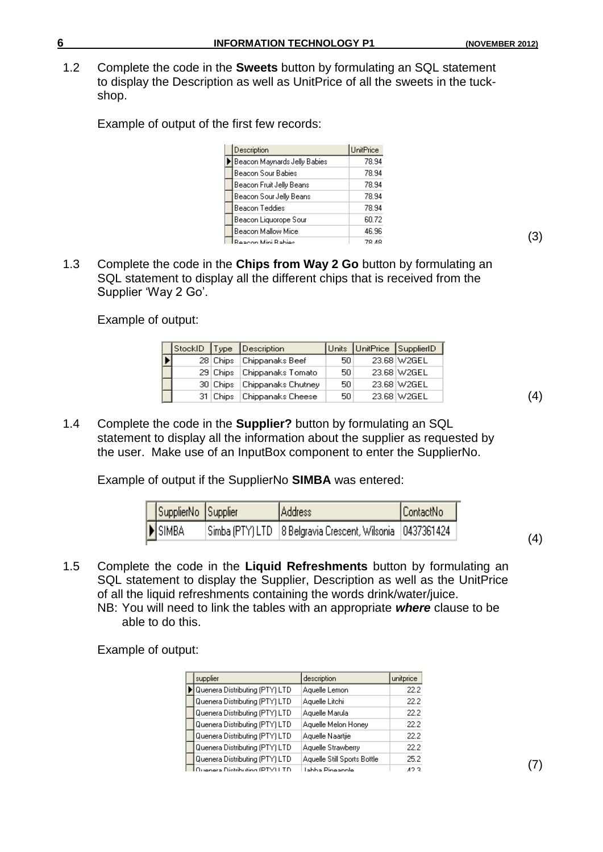1.2 Complete the code in the **Sweets** button by formulating an SQL statement to display the Description as well as UnitPrice of all the sweets in the tuckshop.

Example of output of the first few records:

| Description                  | <b>UnitPrice</b> |
|------------------------------|------------------|
| Beacon Maynards Jelly Babies | 78.94            |
| Beacon Sour Babies           | 78.94            |
| Beacon Fruit Jelly Beans     | 78.94            |
| Beacon Sour Jelly Beans      | 78.94            |
| Beacon Teddies               | 78.94            |
| Beacon Liquorope Sour        | 60.72            |
| Beacon Mallow Mice           | 46.96            |
| Rangon Mini Rabina           | 70 AO            |

1.3 Complete the code in the **Chips from Way 2 Go** button by formulating an SQL statement to display all the different chips that is received from the Supplier 'Way 2 Go'.

Example of output:

|  |          | StockID Type Description |     | Units UnitPrice SupplierID |             |
|--|----------|--------------------------|-----|----------------------------|-------------|
|  | 28 Chips | Chippanaks Beef          | 50  |                            | 23.68 W2GEL |
|  | 29 Chips | Chippanaks Tomato        | 50. |                            | 23.68 W2GEL |
|  | 30 Chips | Chippanaks Chutney       | 50. |                            | 23.68 W2GEL |
|  | 31 Chips | Chippanaks Cheese        | 50. |                            | 23.68 W2GEL |

1.4 Complete the code in the **Supplier?** button by formulating an SQL statement to display all the information about the supplier as requested by the user. Make use of an InputBox component to enter the SupplierNo.

Example of output if the SupplierNo **SIMBA** was entered:

| SupplierNo Supplier | Address                                                       | ContactNo |
|---------------------|---------------------------------------------------------------|-----------|
| SIMBA               | Simba (PTY) LTD   8 Belgravia Crescent, Wilsonia   0437361424 |           |

1.5 Complete the code in the **Liquid Refreshments** button by formulating an SQL statement to display the Supplier, Description as well as the UnitPrice of all the liquid refreshments containing the words drink/water/juice.

NB: You will need to link the tables with an appropriate *where* clause to be able to do this.

Example of output:

| supplier                       | description                 | unitprice |
|--------------------------------|-----------------------------|-----------|
| Quenera Distributing (PTY) LTD | Aquelle Lemon               | 22.2      |
| Quenera Distributing (PTY) LTD | Aquelle Litchi              | 22.2      |
| Quenera Distributing (PTY) LTD | Aquelle Marula              | 22.2      |
| Quenera Distributing (PTY) LTD | Aquelle Melon Honey         | 22.2      |
| Quenera Distributing (PTY) LTD | Aquelle Naartjie            | 22.2      |
| Quenera Distributing (PTY) LTD | Aquelle Strawberry          | 22.2      |
| Quenera Distributing (PTY) LTD | Aquelle Still Sports Bottle | 25.2      |
| era Distributing (PTY) L       | Labba Pineapple             | 10 Q      |

(3)

(4)

(4)

(7)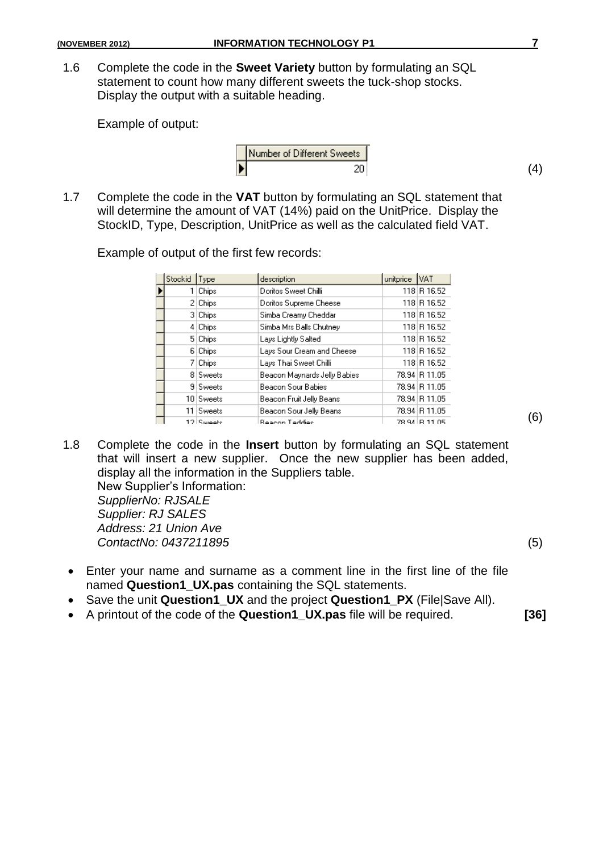1.6 Complete the code in the **Sweet Variety** button by formulating an SQL statement to count how many different sweets the tuck-shop stocks. Display the output with a suitable heading.

Example of output:

1.7 Complete the code in the **VAT** button by formulating an SQL statement that will determine the amount of VAT (14%) paid on the UnitPrice. Display the StockID, Type, Description, UnitPrice as well as the calculated field VAT.

Example of output of the first few records:

|   | Stockid | Type       | description                  | unitprice | VAT            |
|---|---------|------------|------------------------------|-----------|----------------|
| Þ |         | Chips      | Doritos Sweet Chilli         |           | 118 R 16.52    |
|   |         | 2 Chips    | Doritos Supreme Cheese       |           | 118 R 16.52    |
|   |         | 3 Chips    | Simba Creamy Cheddar         |           | 118 R 16.52    |
|   |         | 4 Chips    | Simba Mrs Balls Chutney      |           | 118 R 16.52    |
|   |         | 5 Chips    | Lays Lightly Salted          |           | 118 R 16.52    |
|   |         | 6 Chips    | Lays Sour Cream and Cheese   |           | 118 R 16.52    |
|   | 71      | Chips      | Lays Thai Sweet Chilli       |           | 118 R 16.52    |
|   |         | 8 Sweets   | Beacon Maynards Jelly Babies |           | 78.94 R 11.05  |
|   |         | 9 Sweets   | Beacon Sour Babies           |           | 78.94 R 11.05  |
|   |         | 10 Sweets  | Beacon Fruit Jelly Beans     |           | 78.94 R 11.05  |
|   | 11.     | Sweets     | Beacon Sour Jelly Beans      |           | 78.94 R 11.05  |
|   |         | 12 Ruigate | Rescon Teddies               |           | 79.94 LB 11.05 |

- 1.8 Complete the code in the **Insert** button by formulating an SQL statement that will insert a new supplier. Once the new supplier has been added, display all the information in the Suppliers table. New Supplier's Information: *SupplierNo: RJSALE Supplier: RJ SALES Address: 21 Union Ave ContactNo: 0437211895* (5)
- Enter your name and surname as a comment line in the first line of the file named **Question1\_UX.pas** containing the SQL statements.
- Save the unit **Question1\_UX** and the project **Question1\_PX** (File|Save All).
- A printout of the code of the **Question1\_UX.pas** file will be required. **[36]**

(4)

(6)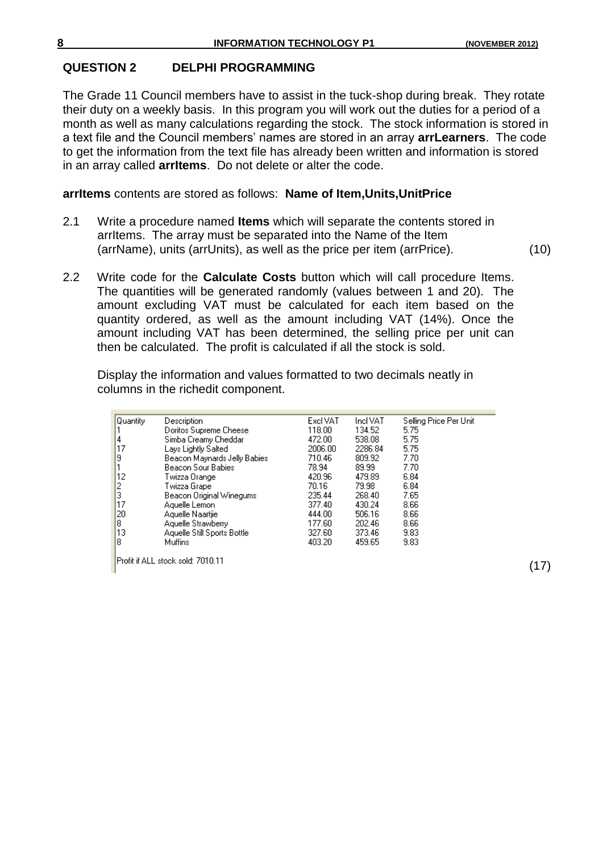(17)

### **QUESTION 2 DELPHI PROGRAMMING**

The Grade 11 Council members have to assist in the tuck-shop during break. They rotate their duty on a weekly basis. In this program you will work out the duties for a period of a month as well as many calculations regarding the stock. The stock information is stored in a text file and the Council members' names are stored in an array **arrLearners**. The code to get the information from the text file has already been written and information is stored in an array called **arrItems**. Do not delete or alter the code.

### **arrItems** contents are stored as follows: **Name of Item,Units,UnitPrice**

- 2.1 Write a procedure named **Items** which will separate the contents stored in arrItems. The array must be separated into the Name of the Item (arrName), units (arrUnits), as well as the price per item (arrPrice). (10)
- 2.2 Write code for the **Calculate Costs** button which will call procedure Items. The quantities will be generated randomly (values between 1 and 20). The amount excluding VAT must be calculated for each item based on the quantity ordered, as well as the amount including VAT (14%). Once the amount including VAT has been determined, the selling price per unit can then be calculated. The profit is calculated if all the stock is sold.

Display the information and values formatted to two decimals neatly in columns in the richedit component.

| Quantity      | Description                        | Excl VAT | Incl VAT | Selling Price Per Unit |
|---------------|------------------------------------|----------|----------|------------------------|
|               | Doritos Supreme Cheese             | 118.00   | 134.52   | 5.75                   |
| 4             | Simba Creamy Cheddar               | 472.00   | 538.08   | 5.75                   |
| 17            | Lays Lightly Salted                | 2006.00  | 2286.84  | 5.75                   |
| 9             | Beacon Maynards Jelly Babies       | 710.46   | 809.92   | 7.70                   |
|               | Beacon Sour Babies                 | 78.94    | 89.99    | 7.70                   |
| 12            | Twizza Orange                      | 420.96   | 479.89   | 6.84                   |
| $\frac{2}{3}$ | Twizza Grape                       | 70.16    | 79.98    | 6.84                   |
|               | Beacon Original Winegums           | 235.44   | 268.40   | 7.65                   |
| 17            | Aquelle Lemon                      | 377.40   | 430.24   | 8.66                   |
| 20            | Aquelle Naartjie                   | 444.00   | 506.16   | 8.66                   |
| 8             | Aquelle Strawberry                 | 177.60   | 202.46   | 8.66                   |
| 13            | Aquelle Still Sports Bottle        | 327.60   | 373.46   | 9.83                   |
| 8             | Muffins                            | 403.20   | 459.65   | 9.83                   |
|               | lProfit if ALL stock sold: 7010.11 |          |          |                        |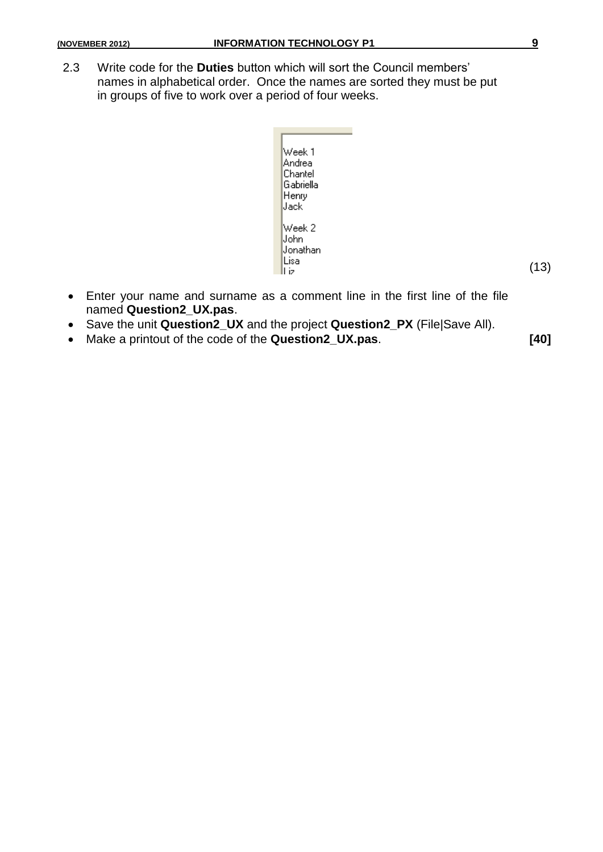2.3 Write code for the **Duties** button which will sort the Council members' names in alphabetical order. Once the names are sorted they must be put in groups of five to work over a period of four weeks.



- Enter your name and surname as a comment line in the first line of the file named **Question2\_UX.pas**.
- Save the unit **Question2\_UX** and the project **Question2\_PX** (File|Save All).
- Make a printout of the code of the **Question2\_UX.pas**. **[40]**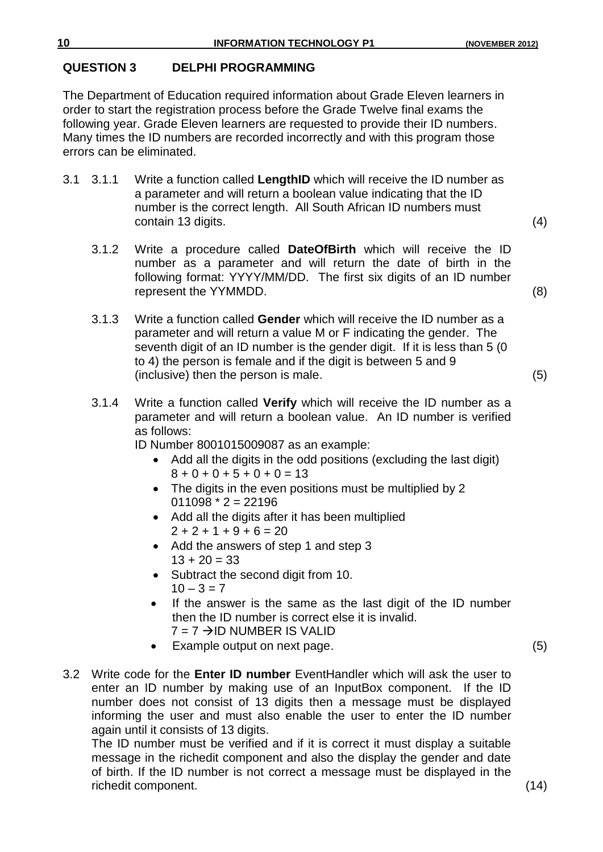# **QUESTION 3 DELPHI PROGRAMMING**

The Department of Education required information about Grade Eleven learners in order to start the registration process before the Grade Twelve final exams the following year. Grade Eleven learners are requested to provide their ID numbers. Many times the ID numbers are recorded incorrectly and with this program those errors can be eliminated.

- 3.1 3.1.1 Write a function called **LengthID** which will receive the ID number as a parameter and will return a boolean value indicating that the ID number is the correct length. All South African ID numbers must contain 13 digits. (4)
	-
	- 3.1.2 Write a procedure called **DateOfBirth** which will receive the ID number as a parameter and will return the date of birth in the following format: YYYY/MM/DD. The first six digits of an ID number represent the YYMMDD. (8)
	- 3.1.3 Write a function called **Gender** which will receive the ID number as a parameter and will return a value M or F indicating the gender. The seventh digit of an ID number is the gender digit. If it is less than 5 (0 to 4) the person is female and if the digit is between 5 and 9 (inclusive) then the person is male. (5)
	- 3.1.4 Write a function called **Verify** which will receive the ID number as a parameter and will return a boolean value. An ID number is verified as follows:
		- ID Number 8001015009087 as an example:
			- Add all the digits in the odd positions (excluding the last digit)  $8 + 0 + 0 + 5 + 0 + 0 = 13$
			- The digits in the even positions must be multiplied by 2  $011098 * 2 = 22196$
			- Add all the digits after it has been multiplied  $2 + 2 + 1 + 9 + 6 = 20$
			- Add the answers of step 1 and step 3  $13 + 20 = 33$
			- Subtract the second digit from 10.  $10 - 3 = 7$
			- If the answer is the same as the last digit of the ID number then the ID number is correct else it is invalid.  $7 = 7 \rightarrow$ ID NUMBER IS VALID
			- Example output on next page. (5)
- 3.2 Write code for the **Enter ID number** EventHandler which will ask the user to enter an ID number by making use of an InputBox component. If the ID number does not consist of 13 digits then a message must be displayed informing the user and must also enable the user to enter the ID number again until it consists of 13 digits.

The ID number must be verified and if it is correct it must display a suitable message in the richedit component and also the display the gender and date of birth. If the ID number is not correct a message must be displayed in the richedit component. (14)